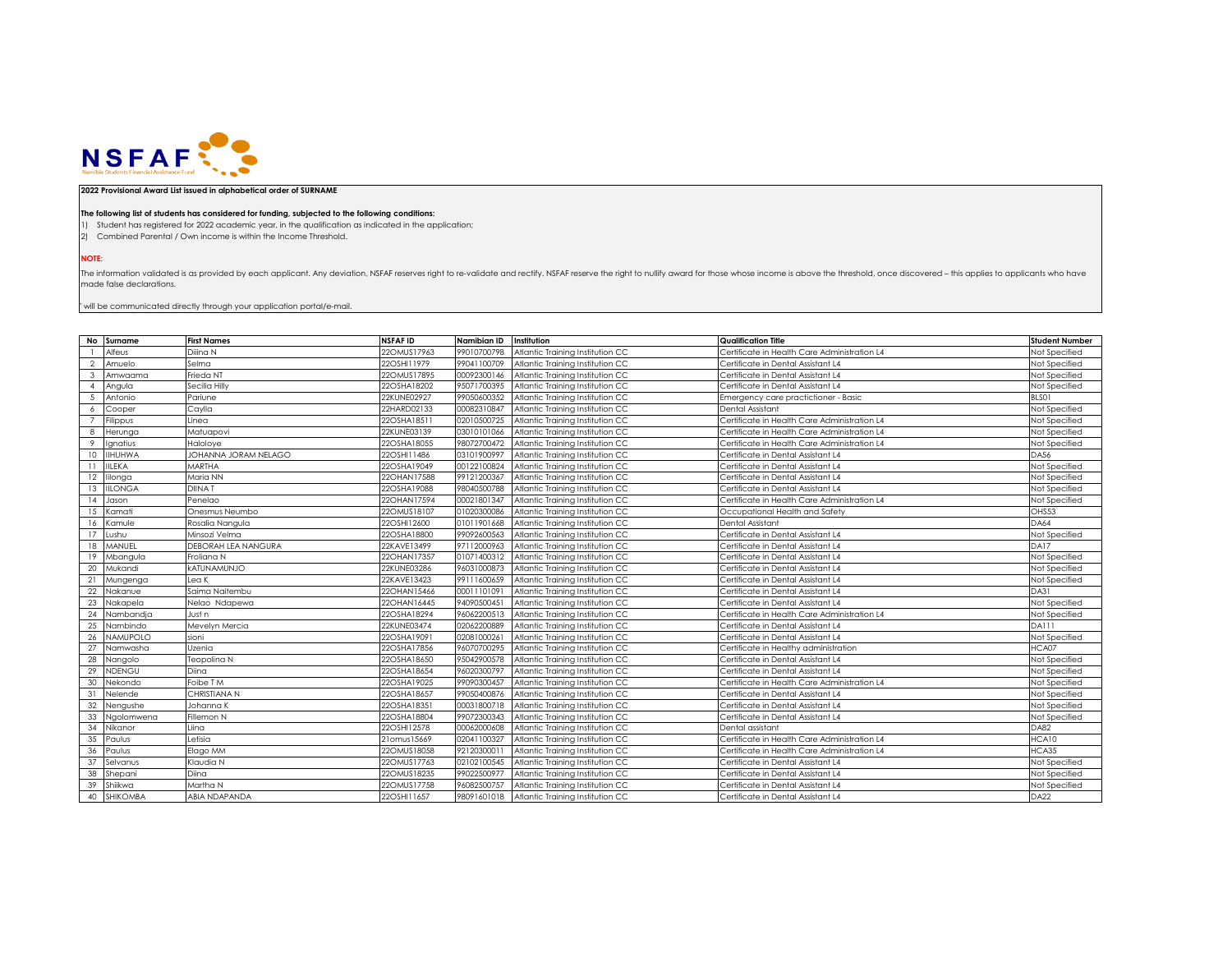

## **2022 Provisional Award List issued in alphabetical order of SURNAME**

## **The following list of students has considered for funding, subjected to the following conditions:**

1) Student has registered for 2022 academic year, in the qualification as indicated in the application;

2) Combined Parental / Own income is within the Income Threshold.

**NOTE:**

The information validated is as provided by each applicant. Any deviation, NSFAF reserves right to re-validate and rectify. NSFAF reserve the right to nullify award for those whose income is above the threshold, once disco made false declarations.

 $^{\circ}$  will be communicated directly through your application portal/e-mail.

|                | No Surname      | <b>First Names</b>   | NSFAF ID       | Namibian ID | Institution                                  | <b>Qualification Title</b>                   | <b>Student Number</b> |
|----------------|-----------------|----------------------|----------------|-------------|----------------------------------------------|----------------------------------------------|-----------------------|
|                | Alfeus          | Diiina N             | 22OMUS17963    | 99010700798 | Atlantic Training Institution CC             | Certificate in Health Care Administration L4 | Not Specified         |
| 2              | Amuelo          | Selma                | 22OSHI11979    | 99041100709 | Atlantic Training Institution CC             | Certificate in Dental Assistant L4           | Not Specified         |
| $\mathbf{3}$   | Amwaama         | Frieda NT            | 22OMUS17895    | 00092300146 | Atlantic Training Institution CC             | Certificate in Dental Assistant L4           | Not Specified         |
| $\overline{4}$ | Angula          | Secilia Hilly        | 22OSHA18202    | 95071700395 | Atlantic Training Institution CC             | Certificate in Dental Assistant L4           | Not Specified         |
|                | Antonio         | Pariune              | 22KUNE02927    | 99050600352 | Atlantic Training Institution CC             | Emergency care practictioner - Basic         | BLSO1                 |
|                | Cooper          | Caylla               | 22HARD02133    | 00082310847 | Atlantic Training Institution CC             | Dental Assistant                             | Not Specified         |
|                | Filippus        | Linea                | 22OSHA18511    | 02010500725 | Atlantic Training Institution CC             | Certificate in Health Care Administration L4 | Not Specified         |
|                | Herunga         | Matuapovi            | 22KUNE03139    | 03010101066 | Atlantic Training Institution CC             | Certificate in Health Care Administration L4 | Not Specified         |
| $\circ$        | Ignatius        | Haloloye             | 22OSHA18055    | 98072700472 | Atlantic Training Institution CC             | Certificate in Health Care Administration L4 | Not Specified         |
| 10             | <b>IIHUHWA</b>  | JOHANNA JORAM NELAGO | 22OSHI11486    | 03101900997 | Atlantic Training Institution CC             | Certificate in Dental Assistant L4           | <b>DA56</b>           |
|                | <b>IILEKA</b>   | MARTHA               | 22OSHA19049    | 00122100824 | Atlantic Training Institution CC             | Certificate in Dental Assistant L4           | Not Specified         |
| 12             | lilonga         | Maria NN             | 22OHAN17588    | 99121200367 | Atlantic Training Institution CC             | Certificate in Dental Assistant L4           | Not Specified         |
| 13             | <b>IILONGA</b>  | <b>DIINAT</b>        | 22OSHA19088    | 98040500788 | Atlantic Training Institution CC             | Certificate in Dental Assistant L4           | Not Specified         |
| 14             | Jason           | Penelao              | 22OHAN17594    | 00021801347 | Atlantic Training Institution CC             | Certificate in Health Care Administration L4 | Not Specified         |
| 15             | Kamati          | Onesmus Neumbo       | 22OMUS18107    | 01020300086 | Atlantic Training Institution CC             | Occupational Health and Safety               | OHS53                 |
| 16             | Kamule          | Rosalia Nangula      | 22OSHI12600    | 01011901668 | Atlantic Training Institution CC             | Dental Assistant                             | <b>DA64</b>           |
| 17             | Lushu           | Minsozi Velma        | 22OSHA18800    | 99092600563 | Atlantic Training Institution CC             | Certificate in Dental Assistant L4           | Not Specified         |
| 18             | MANUEL          | DEBORAH LEA NANGURA  | 22KAVE13499    | 97112000963 | Atlantic Training Institution CC             | Certificate in Dental Assistant L4           | DA17                  |
| 19             | Mbangula        | Froliana N           | 22OHAN17357    | 01071400312 | Atlantic Training Institution CC             | Certificate in Dental Assistant L4           | Not Specified         |
| 20             | Mukandi         | <b>kATUNAMUNJO</b>   | 22KUNE03286    | 96031000873 | Atlantic Training Institution CC             | Certificate in Dental Assistant L4           | Not Specified         |
| 21             | Mungenga        | Lea K                | 22KAVE13423    | 99111600659 | Atlantic Training Institution CC             | Certificate in Dental Assistant L4           | Not Specified         |
| 22             | Nakanue         | Saima Naitembu       | 22OHAN15466    | 00011101091 | Atlantic Training Institution CC             | Certificate in Dental Assistant L4           | DA31                  |
| 23             | Nakapela        | Nelao Ndapewa        | 22OHAN16445    | 94090500451 | Atlantic Training Institution CC             | Certificate in Dental Assistant L4           | Not Specified         |
| 24             | Nambandja       | Just n               | 22OSHA18294    | 96062200513 | Atlantic Training Institution CC             | Certificate in Health Care Administration L4 | Not Specified         |
| 25             | Nambindo        | Mevelyn Mercia       | 22KUNE03474    | 02062200889 | Atlantic Training Institution CC             | Certificate in Dental Assistant L4           | DA111                 |
| 26             | <b>NAMUPOLO</b> | sioni                | 22OSHA19091    | 02081000261 | Atlantic Training Institution CC             | Certificate in Dental Assistant L4           | Not Specified         |
| 27             | Namwasha        | Uzenia               | 22OSHA17856    | 96070700295 | Atlantic Training Institution CC             | Certificate in Healthy administration        | HCA07                 |
| 28             | Nangolo         | Teopolina N          | 22OSHA18650    | 95042900578 | Atlantic Training Institution CC             | Certificate in Dental Assistant L4           | Not Specified         |
| 29             | <b>NDENGU</b>   | Diina                | 22OSHA18654    | 96020300797 | Atlantic Training Institution CC             | Certificate in Dental Assistant L4           | Not Specified         |
| 30             | Nekondo         | Foibe T M            | 22OSHA19025    | 99090300457 | Atlantic Training Institution CC             | Certificate in Health Care Administration L4 | Not Specified         |
| 31             | Nelende         | CHRISTIANA N         | 22OSHA18657    | 99050400876 | Atlantic Training Institution CC             | Certificate in Dental Assistant L4           | Not Specified         |
| 32             | Nengushe        | Johanna K            | 22OSHA18351    | 00031800718 | Atlantic Training Institution CC             | Certificate in Dental Assistant L4           | Not Specified         |
| 33             | Ngolomwena      | Fillemon N           | 22OSHA18804    | 99072300343 | Atlantic Training Institution CC             | Certificate in Dental Assistant L4           | Not Specified         |
| 34             | Nikanor         | Liina                | 22OSHI12578    | 00062000608 | Atlantic Training Institution CC             | Dental assistant                             | DA82                  |
| 35             | Paulus          | Letisia              | 21 omus 1 5669 | 02041100327 | Atlantic Training Institution CC             | Certificate in Health Care Administration L4 | HCA10                 |
| 36             | Paulus          | Elago MM             | 22OMUS18058    | 92120300011 | Atlantic Training Institution CC             | Certificate in Health Care Administration L4 | HCA35                 |
| 37             | Selvanus        | Klaudia N            | 22OMUS17763    | 02102100545 | Atlantic Training Institution CC             | Certificate in Dental Assistant L4           | Not Specified         |
| 38             | Shepani         | Diina                | 22OMUS18235    | 99022500977 | Atlantic Training Institution CC             | Certificate in Dental Assistant L4           | Not Specified         |
| 39             | Shiikwa         | Martha N             | 22OMUS17758    | 96082500757 | Atlantic Training Institution CC             | Certificate in Dental Assistant L4           | Not Specified         |
| 40             | <b>SHIKOMBA</b> | ABIA NDAPANDA        | 22OSHI11657    |             | 98091601018 Atlantic Training Institution CC | Certificate in Dental Assistant L4           | <b>DA22</b>           |